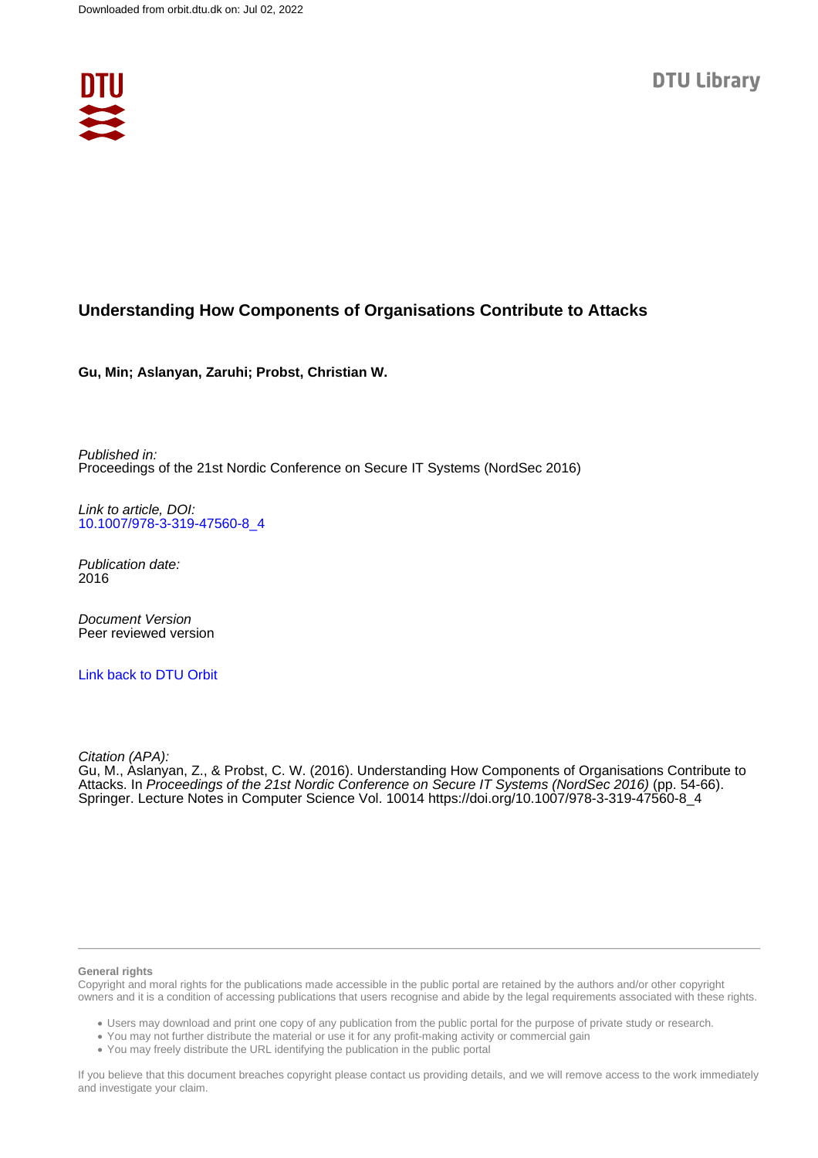

## **Understanding How Components of Organisations Contribute to Attacks**

**Gu, Min; Aslanyan, Zaruhi; Probst, Christian W.**

Published in: Proceedings of the 21st Nordic Conference on Secure IT Systems (NordSec 2016)

Link to article, DOI: [10.1007/978-3-319-47560-8\\_4](https://doi.org/10.1007/978-3-319-47560-8_4)

Publication date: 2016

Document Version Peer reviewed version

[Link back to DTU Orbit](https://orbit.dtu.dk/en/publications/65bad3f2-4d46-4294-b795-eed53a165f64)

Citation (APA):

Gu, M., Aslanyan, Z., & Probst, C. W. (2016). Understanding How Components of Organisations Contribute to Attacks. In Proceedings of the 21st Nordic Conference on Secure IT Systems (NordSec 2016) (pp. 54-66). Springer. Lecture Notes in Computer Science Vol. 10014 [https://doi.org/10.1007/978-3-319-47560-8\\_4](https://doi.org/10.1007/978-3-319-47560-8_4)

#### **General rights**

Copyright and moral rights for the publications made accessible in the public portal are retained by the authors and/or other copyright owners and it is a condition of accessing publications that users recognise and abide by the legal requirements associated with these rights.

Users may download and print one copy of any publication from the public portal for the purpose of private study or research.

- You may not further distribute the material or use it for any profit-making activity or commercial gain
- You may freely distribute the URL identifying the publication in the public portal

If you believe that this document breaches copyright please contact us providing details, and we will remove access to the work immediately and investigate your claim.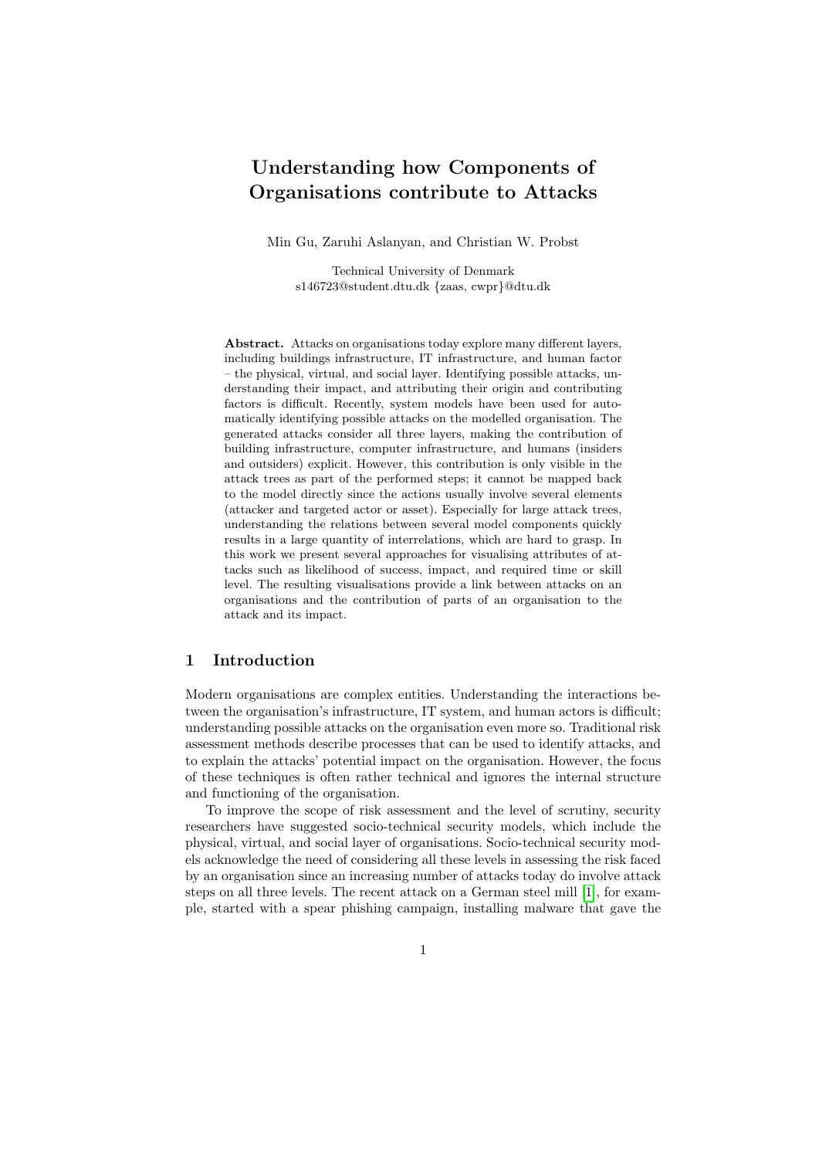# Understanding how Components of Organisations contribute to Attacks

Min Gu, Zaruhi Aslanyan, and Christian W. Probst

Technical University of Denmark s146723@student.dtu.dk {zaas, cwpr}@dtu.dk

Abstract. Attacks on organisations today explore many different layers, including buildings infrastructure, IT infrastructure, and human factor – the physical, virtual, and social layer. Identifying possible attacks, understanding their impact, and attributing their origin and contributing factors is difficult. Recently, system models have been used for automatically identifying possible attacks on the modelled organisation. The generated attacks consider all three layers, making the contribution of building infrastructure, computer infrastructure, and humans (insiders and outsiders) explicit. However, this contribution is only visible in the attack trees as part of the performed steps; it cannot be mapped back to the model directly since the actions usually involve several elements (attacker and targeted actor or asset). Especially for large attack trees, understanding the relations between several model components quickly results in a large quantity of interrelations, which are hard to grasp. In this work we present several approaches for visualising attributes of attacks such as likelihood of success, impact, and required time or skill level. The resulting visualisations provide a link between attacks on an organisations and the contribution of parts of an organisation to the attack and its impact.

### 1 Introduction

Modern organisations are complex entities. Understanding the interactions between the organisation's infrastructure, IT system, and human actors is difficult; understanding possible attacks on the organisation even more so. Traditional risk assessment methods describe processes that can be used to identify attacks, and to explain the attacks' potential impact on the organisation. However, the focus of these techniques is often rather technical and ignores the internal structure and functioning of the organisation.

To improve the scope of risk assessment and the level of scrutiny, security researchers have suggested socio-technical security models, which include the physical, virtual, and social layer of organisations. Socio-technical security models acknowledge the need of considering all these levels in assessing the risk faced by an organisation since an increasing number of attacks today do involve attack steps on all three levels. The recent attack on a German steel mill [\[1\]](#page-13-0), for example, started with a spear phishing campaign, installing malware that gave the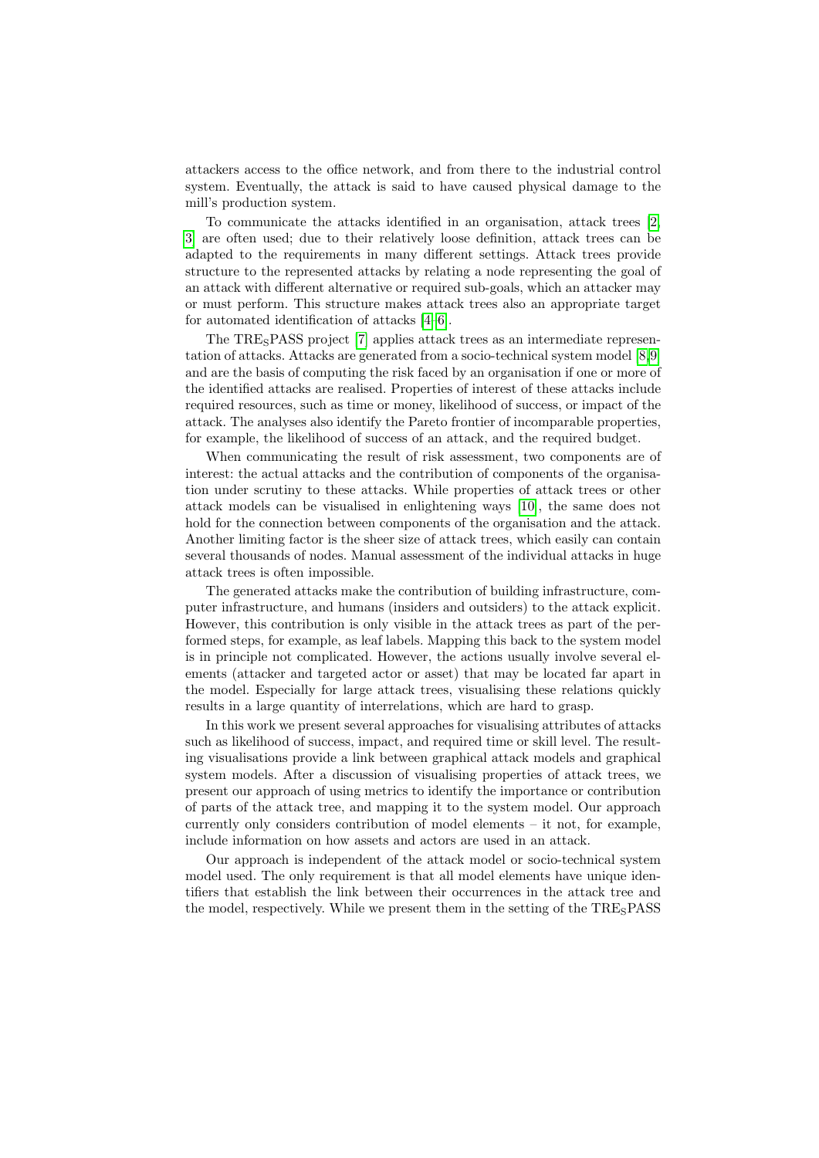attackers access to the office network, and from there to the industrial control system. Eventually, the attack is said to have caused physical damage to the mill's production system.

To communicate the attacks identified in an organisation, attack trees [\[2,](#page-13-1) [3\]](#page-13-2) are often used; due to their relatively loose definition, attack trees can be adapted to the requirements in many different settings. Attack trees provide structure to the represented attacks by relating a node representing the goal of an attack with different alternative or required sub-goals, which an attacker may or must perform. This structure makes attack trees also an appropriate target for automated identification of attacks [\[4](#page-13-3)[–6\]](#page-13-4).

The TRESPASS project [\[7\]](#page-13-5) applies attack trees as an intermediate representation of attacks. Attacks are generated from a socio-technical system model [\[8,](#page-13-6)[9\]](#page-13-7) and are the basis of computing the risk faced by an organisation if one or more of the identified attacks are realised. Properties of interest of these attacks include required resources, such as time or money, likelihood of success, or impact of the attack. The analyses also identify the Pareto frontier of incomparable properties, for example, the likelihood of success of an attack, and the required budget.

When communicating the result of risk assessment, two components are of interest: the actual attacks and the contribution of components of the organisation under scrutiny to these attacks. While properties of attack trees or other attack models can be visualised in enlightening ways [\[10\]](#page-13-8), the same does not hold for the connection between components of the organisation and the attack. Another limiting factor is the sheer size of attack trees, which easily can contain several thousands of nodes. Manual assessment of the individual attacks in huge attack trees is often impossible.

The generated attacks make the contribution of building infrastructure, computer infrastructure, and humans (insiders and outsiders) to the attack explicit. However, this contribution is only visible in the attack trees as part of the performed steps, for example, as leaf labels. Mapping this back to the system model is in principle not complicated. However, the actions usually involve several elements (attacker and targeted actor or asset) that may be located far apart in the model. Especially for large attack trees, visualising these relations quickly results in a large quantity of interrelations, which are hard to grasp.

In this work we present several approaches for visualising attributes of attacks such as likelihood of success, impact, and required time or skill level. The resulting visualisations provide a link between graphical attack models and graphical system models. After a discussion of visualising properties of attack trees, we present our approach of using metrics to identify the importance or contribution of parts of the attack tree, and mapping it to the system model. Our approach currently only considers contribution of model elements – it not, for example, include information on how assets and actors are used in an attack.

Our approach is independent of the attack model or socio-technical system model used. The only requirement is that all model elements have unique identifiers that establish the link between their occurrences in the attack tree and the model, respectively. While we present them in the setting of the  $TRES$  PASS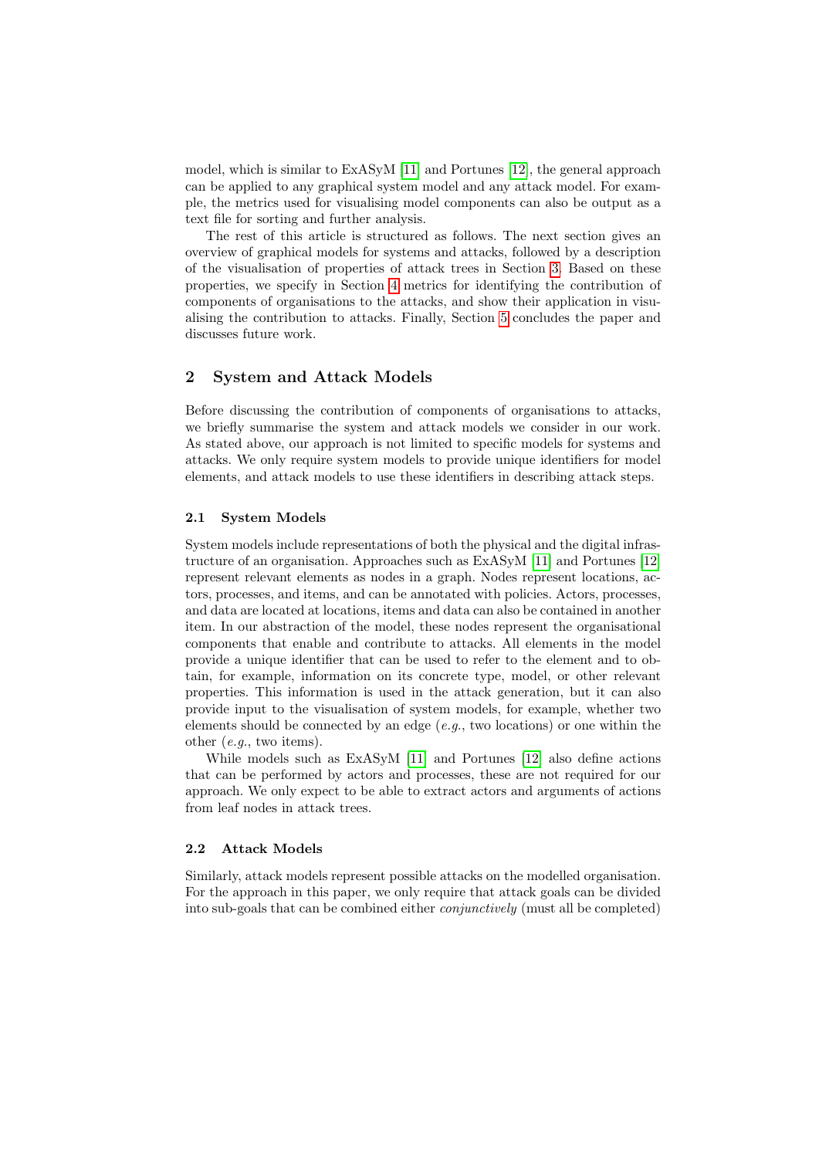model, which is similar to ExASyM [\[11\]](#page-13-9) and Portunes [\[12\]](#page-13-10), the general approach can be applied to any graphical system model and any attack model. For example, the metrics used for visualising model components can also be output as a text file for sorting and further analysis.

The rest of this article is structured as follows. The next section gives an overview of graphical models for systems and attacks, followed by a description of the visualisation of properties of attack trees in Section [3.](#page-5-0) Based on these properties, we specify in Section [4](#page-8-0) metrics for identifying the contribution of components of organisations to the attacks, and show their application in visualising the contribution to attacks. Finally, Section [5](#page-12-0) concludes the paper and discusses future work.

### 2 System and Attack Models

Before discussing the contribution of components of organisations to attacks, we briefly summarise the system and attack models we consider in our work. As stated above, our approach is not limited to specific models for systems and attacks. We only require system models to provide unique identifiers for model elements, and attack models to use these identifiers in describing attack steps.

### 2.1 System Models

System models include representations of both the physical and the digital infrastructure of an organisation. Approaches such as ExASyM [\[11\]](#page-13-9) and Portunes [\[12\]](#page-13-10) represent relevant elements as nodes in a graph. Nodes represent locations, actors, processes, and items, and can be annotated with policies. Actors, processes, and data are located at locations, items and data can also be contained in another item. In our abstraction of the model, these nodes represent the organisational components that enable and contribute to attacks. All elements in the model provide a unique identifier that can be used to refer to the element and to obtain, for example, information on its concrete type, model, or other relevant properties. This information is used in the attack generation, but it can also provide input to the visualisation of system models, for example, whether two elements should be connected by an edge  $(e.g., two locations)$  or one within the other (e.g., two items).

While models such as ExASyM [\[11\]](#page-13-9) and Portunes [\[12\]](#page-13-10) also define actions that can be performed by actors and processes, these are not required for our approach. We only expect to be able to extract actors and arguments of actions from leaf nodes in attack trees.

#### 2.2 Attack Models

Similarly, attack models represent possible attacks on the modelled organisation. For the approach in this paper, we only require that attack goals can be divided into sub-goals that can be combined either conjunctively (must all be completed)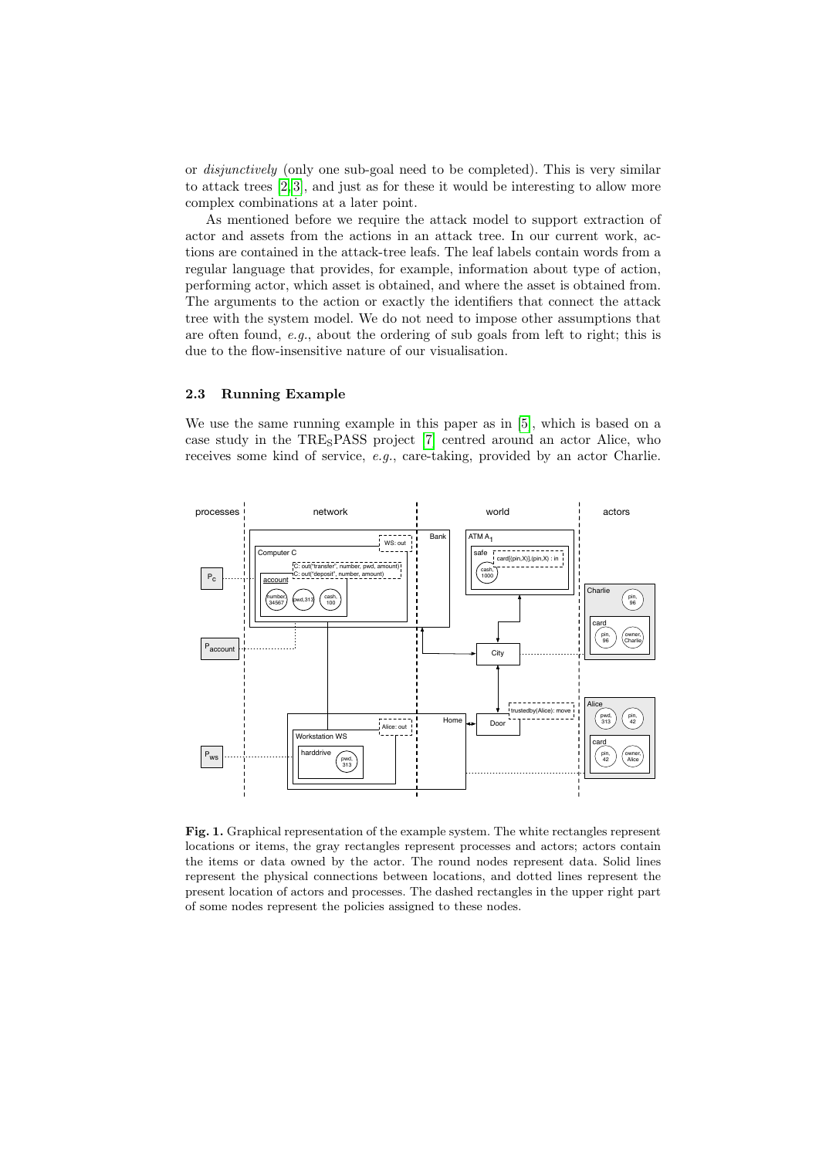or disjunctively (only one sub-goal need to be completed). This is very similar to attack trees [\[2,](#page-13-1) [3\]](#page-13-2), and just as for these it would be interesting to allow more complex combinations at a later point.

As mentioned before we require the attack model to support extraction of actor and assets from the actions in an attack tree. In our current work, actions are contained in the attack-tree leafs. The leaf labels contain words from a regular language that provides, for example, information about type of action, performing actor, which asset is obtained, and where the asset is obtained from. The arguments to the action or exactly the identifiers that connect the attack tree with the system model. We do not need to impose other assumptions that are often found,  $e.g.,$  about the ordering of sub goals from left to right; this is due to the flow-insensitive nature of our visualisation.

#### 2.3 Running Example

We use the same running example in this paper as in [\[5\]](#page-13-11), which is based on a case study in the TRESPASS project [\[7\]](#page-13-5) centred around an actor Alice, who receives some kind of service, e.g., care-taking, provided by an actor Charlie.



<span id="page-4-0"></span>Fig. 1. Graphical representation of the example system. The white rectangles represent locations or items, the gray rectangles represent processes and actors; actors contain the items or data owned by the actor. The round nodes represent data. Solid lines represent the physical connections between locations, and dotted lines represent the present location of actors and processes. The dashed rectangles in the upper right part of some nodes represent the policies assigned to these nodes.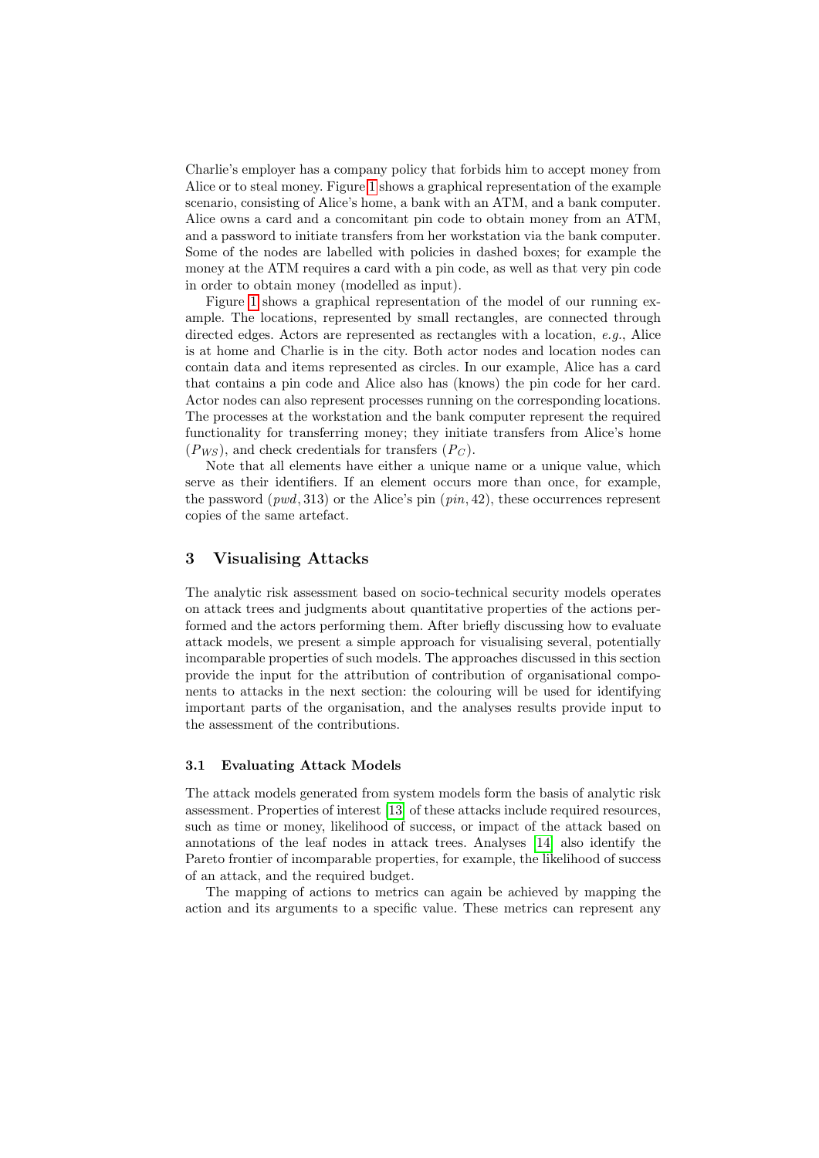Charlie's employer has a company policy that forbids him to accept money from Alice or to steal money. Figure [1](#page-4-0) shows a graphical representation of the example scenario, consisting of Alice's home, a bank with an ATM, and a bank computer. Alice owns a card and a concomitant pin code to obtain money from an ATM, and a password to initiate transfers from her workstation via the bank computer. Some of the nodes are labelled with policies in dashed boxes; for example the money at the ATM requires a card with a pin code, as well as that very pin code in order to obtain money (modelled as input).

Figure [1](#page-4-0) shows a graphical representation of the model of our running example. The locations, represented by small rectangles, are connected through directed edges. Actors are represented as rectangles with a location, e.g., Alice is at home and Charlie is in the city. Both actor nodes and location nodes can contain data and items represented as circles. In our example, Alice has a card that contains a pin code and Alice also has (knows) the pin code for her card. Actor nodes can also represent processes running on the corresponding locations. The processes at the workstation and the bank computer represent the required functionality for transferring money; they initiate transfers from Alice's home  $(P_{WS})$ , and check credentials for transfers  $(P_C)$ .

Note that all elements have either a unique name or a unique value, which serve as their identifiers. If an element occurs more than once, for example, the password  $(pwd, 313)$  or the Alice's pin  $(pin, 42)$ , these occurrences represent copies of the same artefact.

### <span id="page-5-0"></span>3 Visualising Attacks

The analytic risk assessment based on socio-technical security models operates on attack trees and judgments about quantitative properties of the actions performed and the actors performing them. After briefly discussing how to evaluate attack models, we present a simple approach for visualising several, potentially incomparable properties of such models. The approaches discussed in this section provide the input for the attribution of contribution of organisational components to attacks in the next section: the colouring will be used for identifying important parts of the organisation, and the analyses results provide input to the assessment of the contributions.

### <span id="page-5-1"></span>3.1 Evaluating Attack Models

The attack models generated from system models form the basis of analytic risk assessment. Properties of interest [\[13\]](#page-13-12) of these attacks include required resources, such as time or money, likelihood of success, or impact of the attack based on annotations of the leaf nodes in attack trees. Analyses [\[14\]](#page-13-13) also identify the Pareto frontier of incomparable properties, for example, the likelihood of success of an attack, and the required budget.

The mapping of actions to metrics can again be achieved by mapping the action and its arguments to a specific value. These metrics can represent any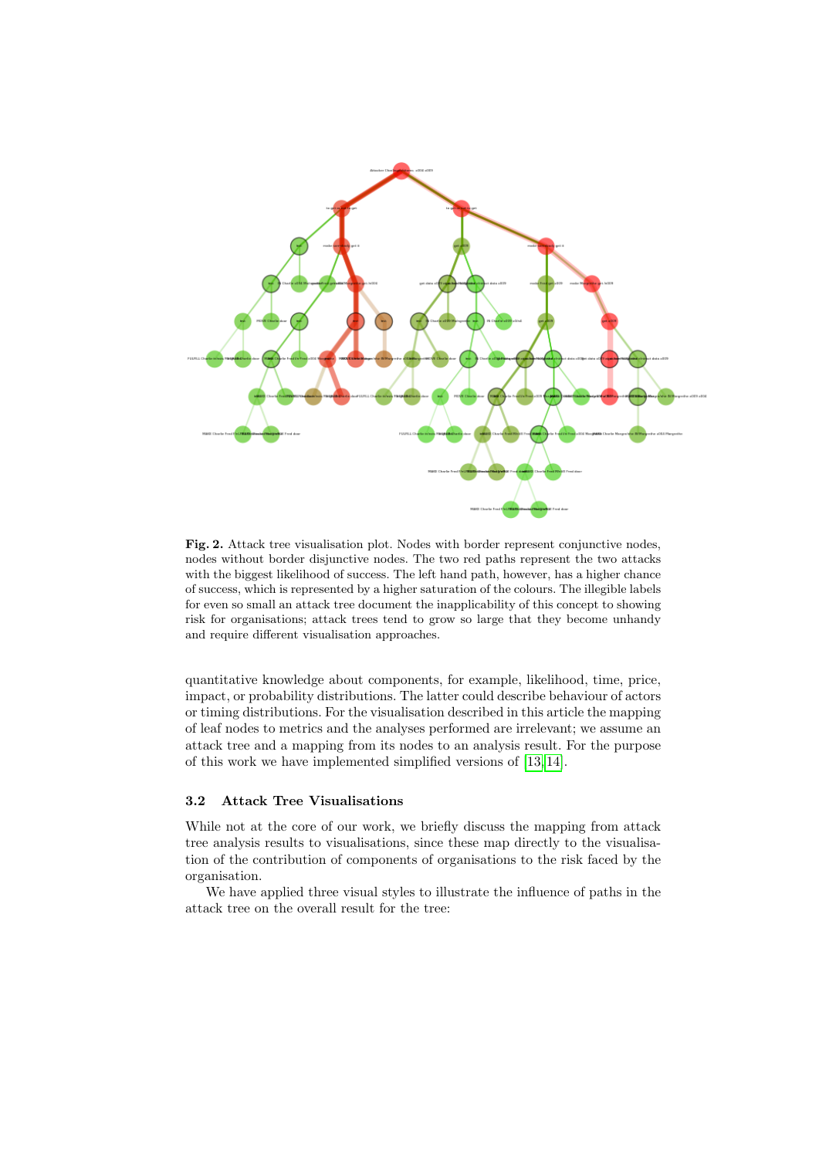

Fig. 2. Attack tree visualisation plot. Nodes with border represent conjunctive nodes, nodes without border disjunctive nodes. The two red paths represent the two attacks with the biggest likelihood of success. The left hand path, however, has a higher chance of success, which is represented by a higher saturation of the colours. The illegible labels for even so small an attack tree document the inapplicability of this concept to showing risk for organisations; attack trees tend to grow so large that they become unhandy and require different visualisation approaches.

quantitative knowledge about components, for example, likelihood, time, price, impact, or probability distributions. The latter could describe behaviour of actors or timing distributions. For the visualisation described in this article the mapping of leaf nodes to metrics and the analyses performed are irrelevant; we assume an attack tree and a mapping from its nodes to an analysis result. For the purpose of this work we have implemented simplified versions of [\[13,](#page-13-12) [14\]](#page-13-13).

### 3.2 Attack Tree Visualisations

While not at the core of our work, we briefly discuss the mapping from attack tree analysis results to visualisations, since these map directly to the visualisation of the contribution of components of organisations to the risk faced by the organisation.

We have applied three visual styles to illustrate the influence of paths in the attack tree on the overall result for the tree: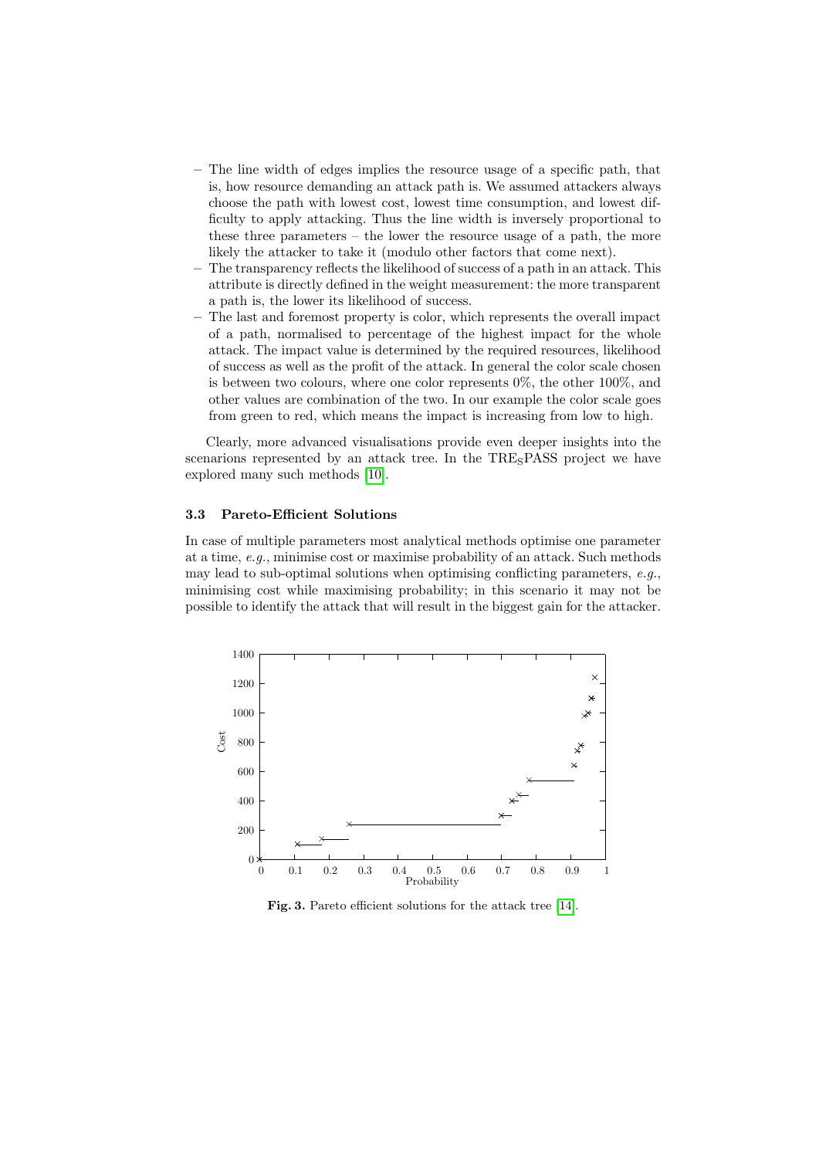- The line width of edges implies the resource usage of a specific path, that is, how resource demanding an attack path is. We assumed attackers always choose the path with lowest cost, lowest time consumption, and lowest difficulty to apply attacking. Thus the line width is inversely proportional to these three parameters – the lower the resource usage of a path, the more likely the attacker to take it (modulo other factors that come next).
- The transparency reflects the likelihood of success of a path in an attack. This attribute is directly defined in the weight measurement: the more transparent a path is, the lower its likelihood of success.
- The last and foremost property is color, which represents the overall impact of a path, normalised to percentage of the highest impact for the whole attack. The impact value is determined by the required resources, likelihood of success as well as the profit of the attack. In general the color scale chosen is between two colours, where one color represents 0%, the other 100%, and other values are combination of the two. In our example the color scale goes from green to red, which means the impact is increasing from low to high.

Clearly, more advanced visualisations provide even deeper insights into the scenarions represented by an attack tree. In the TRE<sub>S</sub>PASS project we have explored many such methods [\[10\]](#page-13-8).

#### <span id="page-7-1"></span>3.3 Pareto-Efficient Solutions

In case of multiple parameters most analytical methods optimise one parameter at a time, e.g., minimise cost or maximise probability of an attack. Such methods may lead to sub-optimal solutions when optimising conflicting parameters,  $e.g.,$ minimising cost while maximising probability; in this scenario it may not be possible to identify the attack that will result in the biggest gain for the attacker.



<span id="page-7-0"></span>Fig. 3. Pareto efficient solutions for the attack tree [\[14\]](#page-13-13).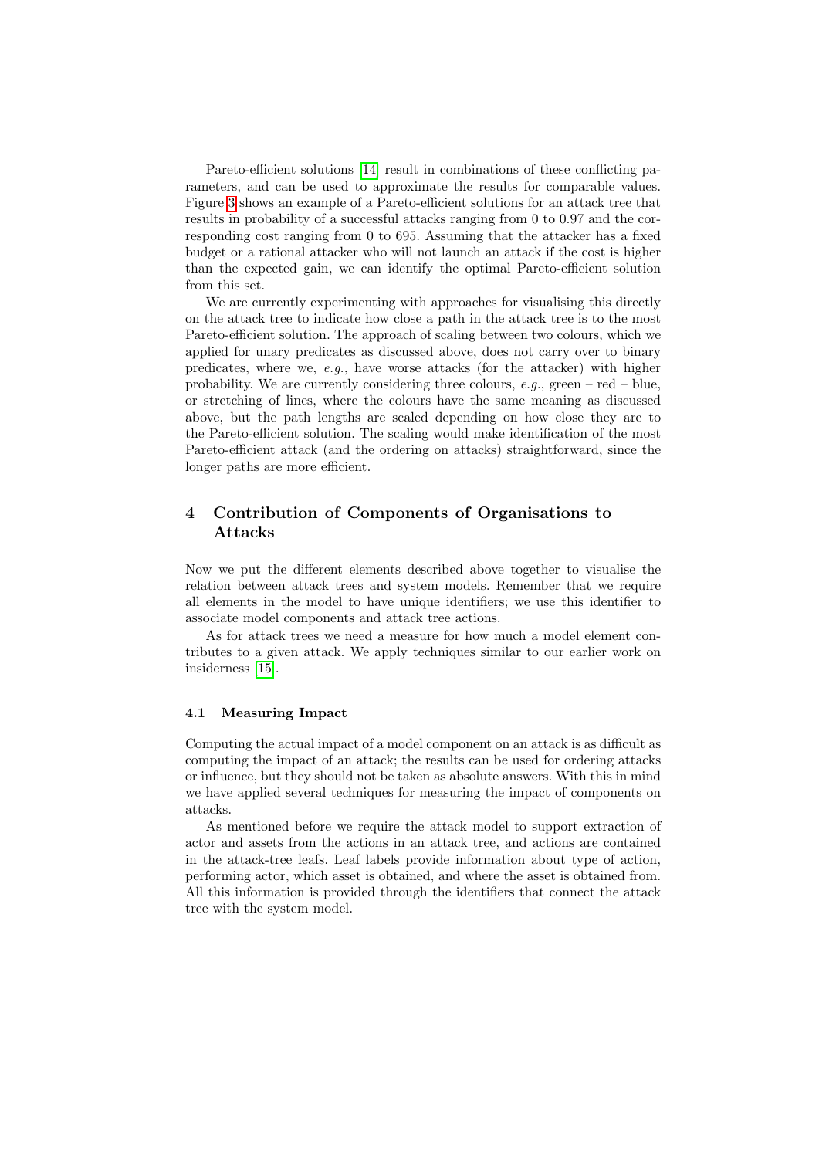Pareto-efficient solutions [\[14\]](#page-13-13) result in combinations of these conflicting parameters, and can be used to approximate the results for comparable values. Figure [3](#page-7-0) shows an example of a Pareto-efficient solutions for an attack tree that results in probability of a successful attacks ranging from 0 to 0.97 and the corresponding cost ranging from 0 to 695. Assuming that the attacker has a fixed budget or a rational attacker who will not launch an attack if the cost is higher than the expected gain, we can identify the optimal Pareto-efficient solution from this set.

We are currently experimenting with approaches for visualising this directly on the attack tree to indicate how close a path in the attack tree is to the most Pareto-efficient solution. The approach of scaling between two colours, which we applied for unary predicates as discussed above, does not carry over to binary predicates, where we, e.g., have worse attacks (for the attacker) with higher probability. We are currently considering three colours,  $e.g.,$  green – red – blue, or stretching of lines, where the colours have the same meaning as discussed above, but the path lengths are scaled depending on how close they are to the Pareto-efficient solution. The scaling would make identification of the most Pareto-efficient attack (and the ordering on attacks) straightforward, since the longer paths are more efficient.

### <span id="page-8-0"></span>4 Contribution of Components of Organisations to Attacks

Now we put the different elements described above together to visualise the relation between attack trees and system models. Remember that we require all elements in the model to have unique identifiers; we use this identifier to associate model components and attack tree actions.

As for attack trees we need a measure for how much a model element contributes to a given attack. We apply techniques similar to our earlier work on insiderness [\[15\]](#page-13-14).

### 4.1 Measuring Impact

Computing the actual impact of a model component on an attack is as difficult as computing the impact of an attack; the results can be used for ordering attacks or influence, but they should not be taken as absolute answers. With this in mind we have applied several techniques for measuring the impact of components on attacks.

As mentioned before we require the attack model to support extraction of actor and assets from the actions in an attack tree, and actions are contained in the attack-tree leafs. Leaf labels provide information about type of action, performing actor, which asset is obtained, and where the asset is obtained from. All this information is provided through the identifiers that connect the attack tree with the system model.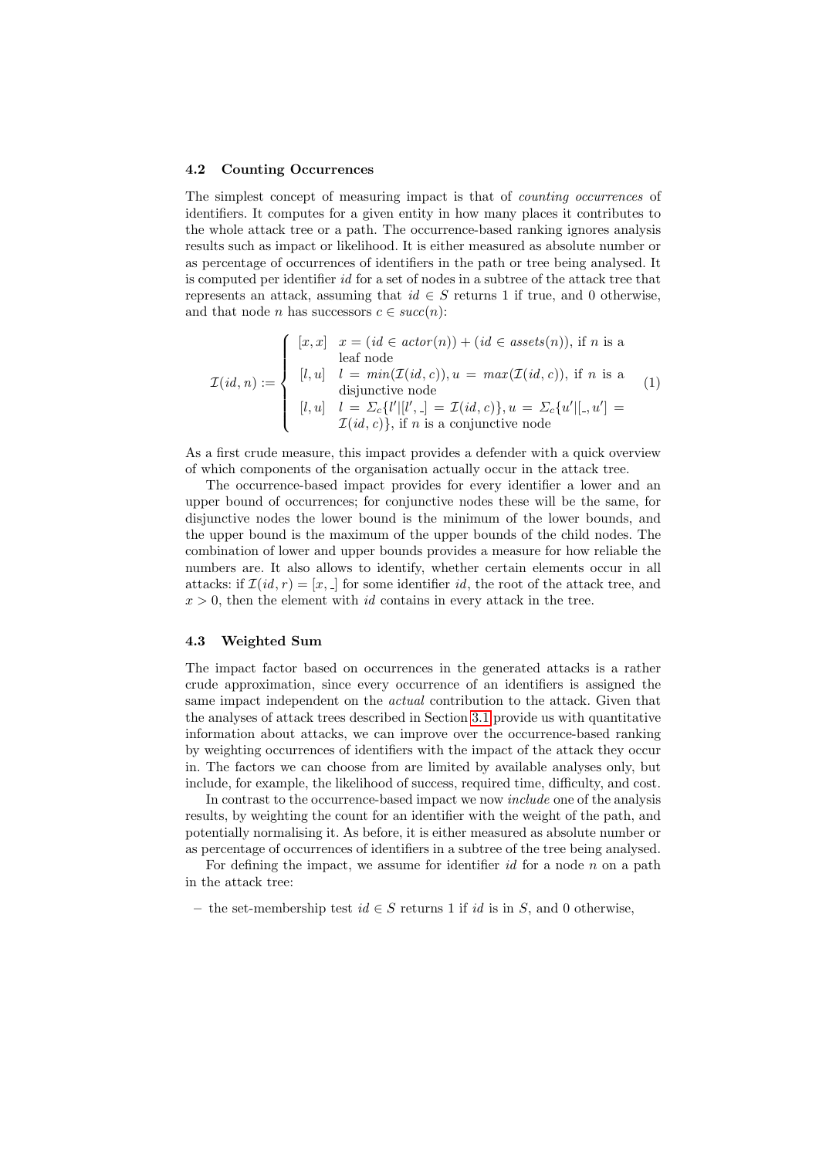#### 4.2 Counting Occurrences

The simplest concept of measuring impact is that of *counting occurrences* of identifiers. It computes for a given entity in how many places it contributes to the whole attack tree or a path. The occurrence-based ranking ignores analysis results such as impact or likelihood. It is either measured as absolute number or as percentage of occurrences of identifiers in the path or tree being analysed. It is computed per identifier id for a set of nodes in a subtree of the attack tree that represents an attack, assuming that  $id \in S$  returns 1 if true, and 0 otherwise, and that node *n* has successors  $c \in succ(n)$ :

$$
\mathcal{I}(id, n) := \begin{cases}\n[x, x] & x = (id \in actor(n)) + (id \in assets(n)), \text{ if } n \text{ is a} \\
[l, u] & l = min(\mathcal{I}(id, c)), u = max(\mathcal{I}(id, c)), \text{ if } n \text{ is a} \\
& \text{disjunctive node} \\
[l, u] & l = \sum_c \{l' | [l', .] = \mathcal{I}(id, c)\}, u = \sum_c \{u' | [., u'] = \mathcal{I}(id, c)\}, \text{ if } n \text{ is a conjunctive node}\n\end{cases}
$$
\n(1)

As a first crude measure, this impact provides a defender with a quick overview of which components of the organisation actually occur in the attack tree.

The occurrence-based impact provides for every identifier a lower and an upper bound of occurrences; for conjunctive nodes these will be the same, for disjunctive nodes the lower bound is the minimum of the lower bounds, and the upper bound is the maximum of the upper bounds of the child nodes. The combination of lower and upper bounds provides a measure for how reliable the numbers are. It also allows to identify, whether certain elements occur in all attacks: if  $\mathcal{I}(id, r) = [x, \cdot]$  for some identifier id, the root of the attack tree, and  $x > 0$ , then the element with id contains in every attack in the tree.

#### 4.3 Weighted Sum

The impact factor based on occurrences in the generated attacks is a rather crude approximation, since every occurrence of an identifiers is assigned the same impact independent on the *actual* contribution to the attack. Given that the analyses of attack trees described in Section [3.1](#page-5-1) provide us with quantitative information about attacks, we can improve over the occurrence-based ranking by weighting occurrences of identifiers with the impact of the attack they occur in. The factors we can choose from are limited by available analyses only, but include, for example, the likelihood of success, required time, difficulty, and cost.

In contrast to the occurrence-based impact we now include one of the analysis results, by weighting the count for an identifier with the weight of the path, and potentially normalising it. As before, it is either measured as absolute number or as percentage of occurrences of identifiers in a subtree of the tree being analysed.

For defining the impact, we assume for identifier  $id$  for a node n on a path in the attack tree:

<sup>–</sup> the set-membership test  $id \in S$  returns 1 if id is in S, and 0 otherwise,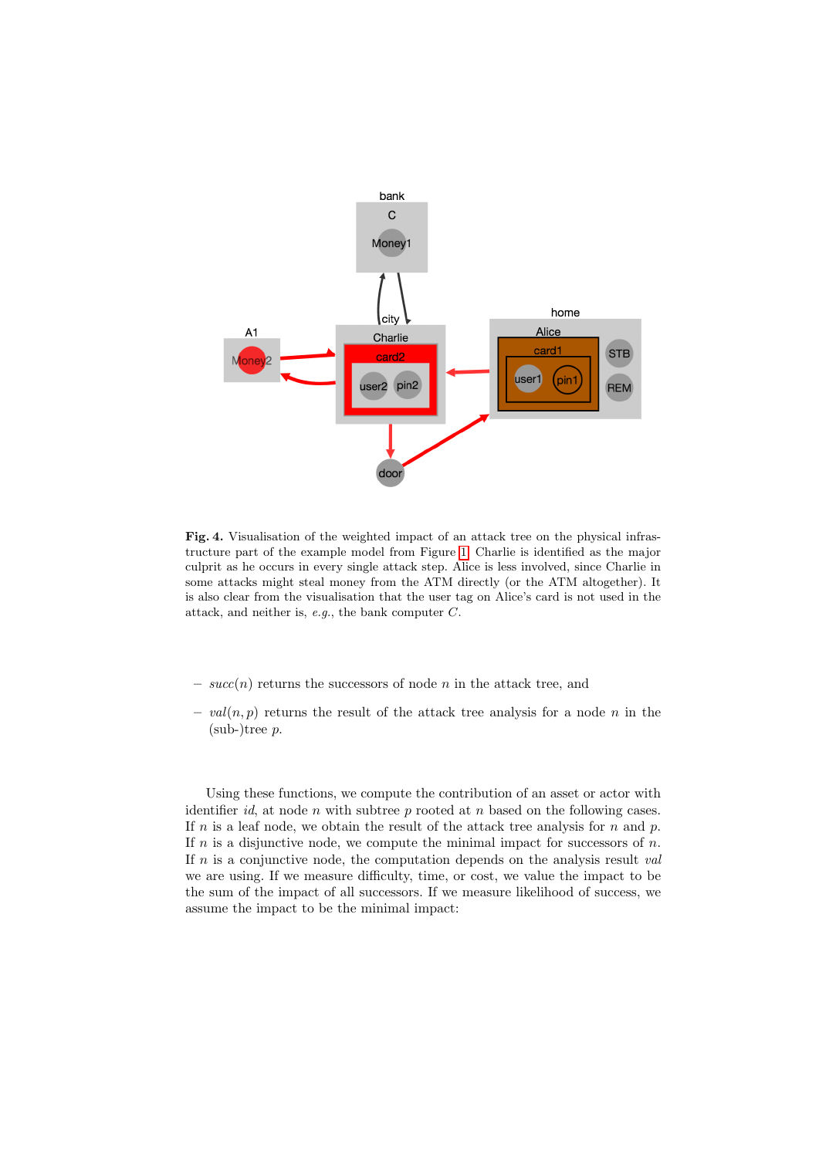

<span id="page-10-0"></span>Fig. 4. Visualisation of the weighted impact of an attack tree on the physical infrastructure part of the example model from Figure [1.](#page-4-0) Charlie is identified as the major culprit as he occurs in every single attack step. Alice is less involved, since Charlie in some attacks might steal money from the ATM directly (or the ATM altogether). It is also clear from the visualisation that the user tag on Alice's card is not used in the attack, and neither is, e.g., the bank computer C.

- $succ(n)$  returns the successors of node n in the attack tree, and
- $val(n, p)$  returns the result of the attack tree analysis for a node n in the (sub-)tree p.

Using these functions, we compute the contribution of an asset or actor with identifier id, at node n with subtree p rooted at n based on the following cases. If  $n$  is a leaf node, we obtain the result of the attack tree analysis for  $n$  and  $p$ . If  $n$  is a disjunctive node, we compute the minimal impact for successors of  $n$ . If  $n$  is a conjunctive node, the computation depends on the analysis result val we are using. If we measure difficulty, time, or cost, we value the impact to be the sum of the impact of all successors. If we measure likelihood of success, we assume the impact to be the minimal impact: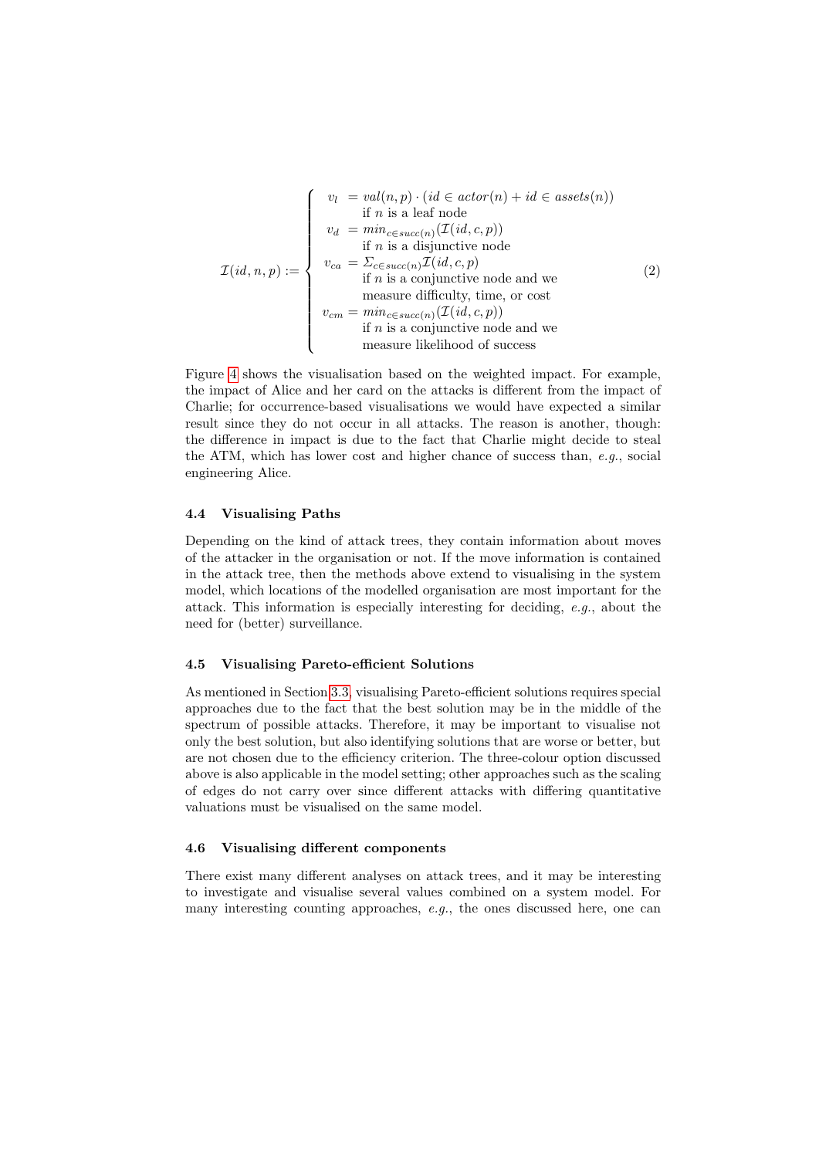$$
\mathcal{I}(id, n, p) := \begin{cases}\nv_l = val(n, p) \cdot (id \in actor(n) + id \in assets(n)) \\
\text{if } n \text{ is a leaf node} \\
v_d = min_{c \in succ(n)}(\mathcal{I}(id, c, p)) \\
\text{if } n \text{ is a disjunctive node} \\
v_{ca} = \sum_{c \in succ(n)}\mathcal{I}(id, c, p) \\
\text{if } n \text{ is a conjunctive node and we} \\
\text{measure difficulty, time, or cost} \\
v_{cm} = min_{c \in succ(n)}(\mathcal{I}(id, c, p)) \\
\text{if } n \text{ is a conjunctive node and we} \\
\text{measure likelihood of success}\n\end{cases}
$$
\n(2)

Figure [4](#page-10-0) shows the visualisation based on the weighted impact. For example, the impact of Alice and her card on the attacks is different from the impact of Charlie; for occurrence-based visualisations we would have expected a similar result since they do not occur in all attacks. The reason is another, though: the difference in impact is due to the fact that Charlie might decide to steal the ATM, which has lower cost and higher chance of success than,  $e.g.,$  social engineering Alice.

### 4.4 Visualising Paths

Depending on the kind of attack trees, they contain information about moves of the attacker in the organisation or not. If the move information is contained in the attack tree, then the methods above extend to visualising in the system model, which locations of the modelled organisation are most important for the attack. This information is especially interesting for deciding, e.g., about the need for (better) surveillance.

### 4.5 Visualising Pareto-efficient Solutions

As mentioned in Section [3.3,](#page-7-1) visualising Pareto-efficient solutions requires special approaches due to the fact that the best solution may be in the middle of the spectrum of possible attacks. Therefore, it may be important to visualise not only the best solution, but also identifying solutions that are worse or better, but are not chosen due to the efficiency criterion. The three-colour option discussed above is also applicable in the model setting; other approaches such as the scaling of edges do not carry over since different attacks with differing quantitative valuations must be visualised on the same model.

### 4.6 Visualising different components

There exist many different analyses on attack trees, and it may be interesting to investigate and visualise several values combined on a system model. For many interesting counting approaches, e.g., the ones discussed here, one can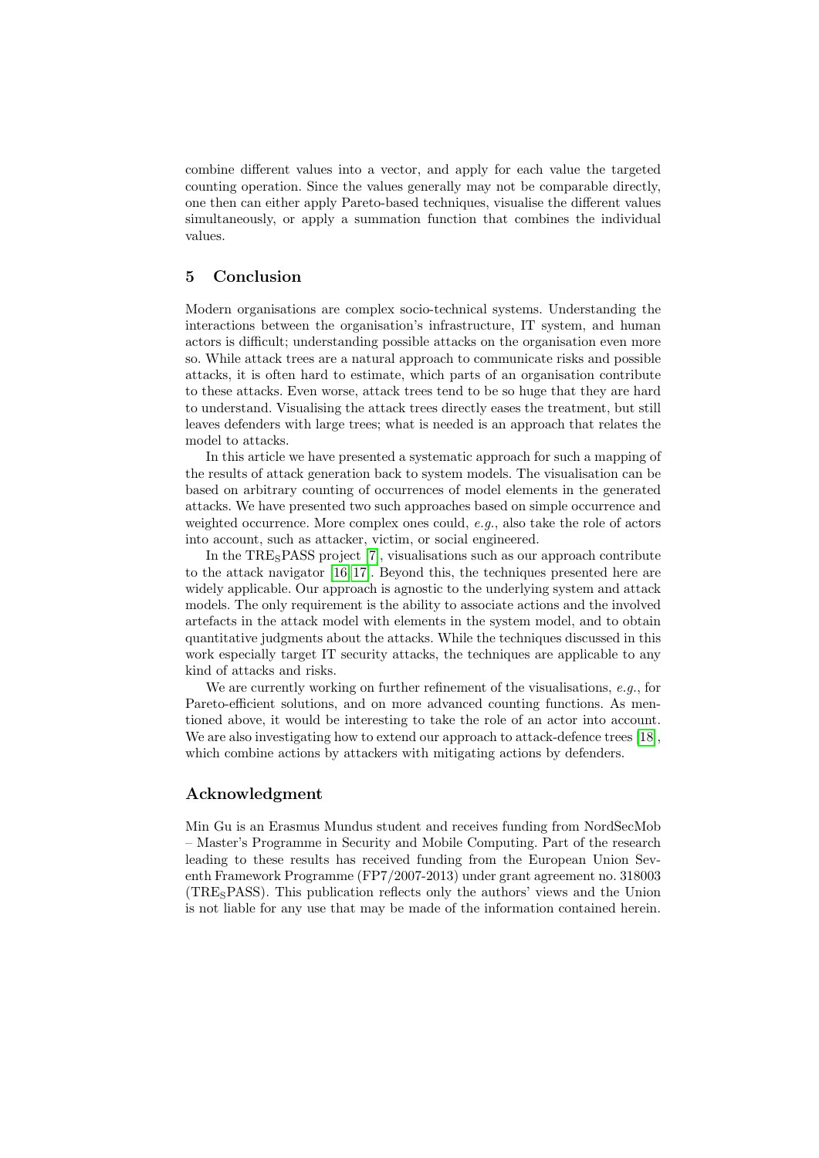combine different values into a vector, and apply for each value the targeted counting operation. Since the values generally may not be comparable directly, one then can either apply Pareto-based techniques, visualise the different values simultaneously, or apply a summation function that combines the individual values.

### <span id="page-12-0"></span>5 Conclusion

Modern organisations are complex socio-technical systems. Understanding the interactions between the organisation's infrastructure, IT system, and human actors is difficult; understanding possible attacks on the organisation even more so. While attack trees are a natural approach to communicate risks and possible attacks, it is often hard to estimate, which parts of an organisation contribute to these attacks. Even worse, attack trees tend to be so huge that they are hard to understand. Visualising the attack trees directly eases the treatment, but still leaves defenders with large trees; what is needed is an approach that relates the model to attacks.

In this article we have presented a systematic approach for such a mapping of the results of attack generation back to system models. The visualisation can be based on arbitrary counting of occurrences of model elements in the generated attacks. We have presented two such approaches based on simple occurrence and weighted occurrence. More complex ones could, e.g., also take the role of actors into account, such as attacker, victim, or social engineered.

In the TRE<sub>S</sub>PASS project [\[7\]](#page-13-5), visualisations such as our approach contribute to the attack navigator [\[16,](#page-14-0) [17\]](#page-14-1). Beyond this, the techniques presented here are widely applicable. Our approach is agnostic to the underlying system and attack models. The only requirement is the ability to associate actions and the involved artefacts in the attack model with elements in the system model, and to obtain quantitative judgments about the attacks. While the techniques discussed in this work especially target IT security attacks, the techniques are applicable to any kind of attacks and risks.

We are currently working on further refinement of the visualisations, e.g., for Pareto-efficient solutions, and on more advanced counting functions. As mentioned above, it would be interesting to take the role of an actor into account. We are also investigating how to extend our approach to attack-defence trees [\[18\]](#page-14-2), which combine actions by attackers with mitigating actions by defenders.

### Acknowledgment

Min Gu is an Erasmus Mundus student and receives funding from NordSecMob – Master's Programme in Security and Mobile Computing. Part of the research leading to these results has received funding from the European Union Seventh Framework Programme (FP7/2007-2013) under grant agreement no. 318003 (TRESPASS). This publication reflects only the authors' views and the Union is not liable for any use that may be made of the information contained herein.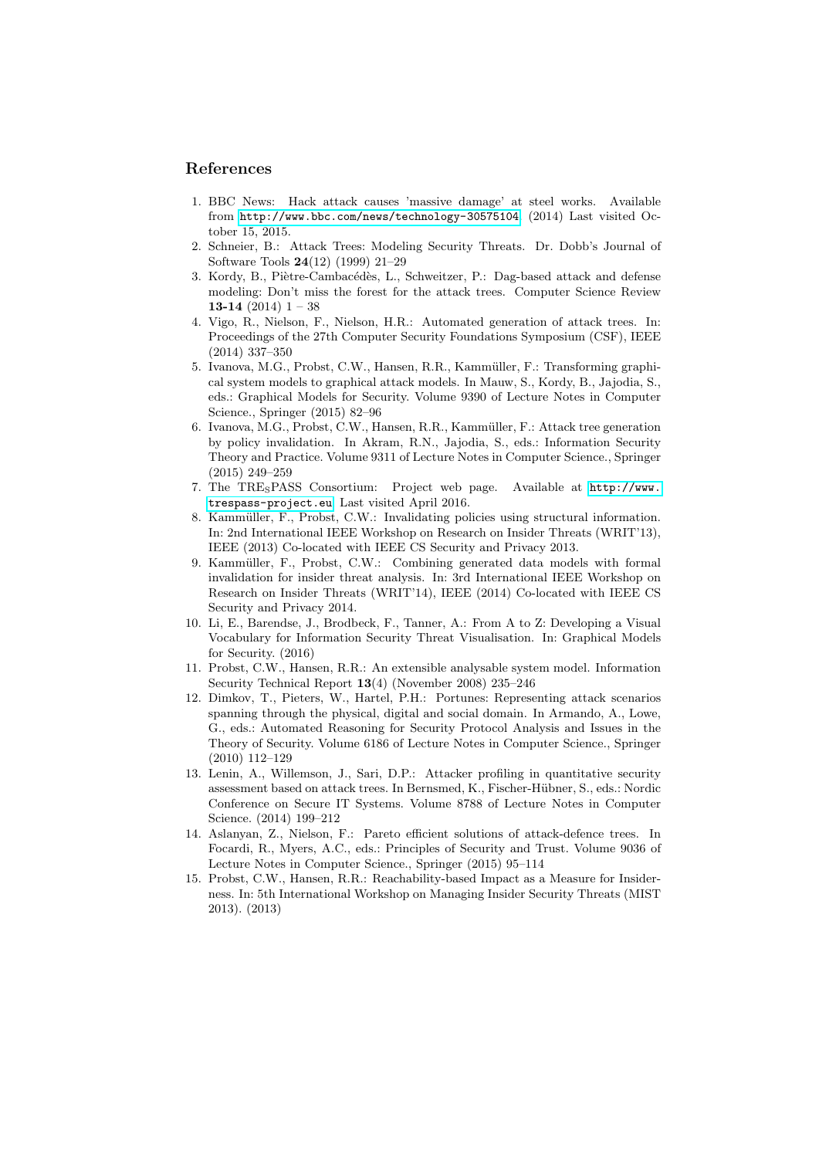### References

- <span id="page-13-0"></span>1. BBC News: Hack attack causes 'massive damage' at steel works. Available from <http://www.bbc.com/news/technology-30575104>. (2014) Last visited October 15, 2015.
- <span id="page-13-1"></span>2. Schneier, B.: Attack Trees: Modeling Security Threats. Dr. Dobb's Journal of Software Tools 24(12) (1999) 21–29
- <span id="page-13-2"></span>3. Kordy, B., Piètre-Cambacédès, L., Schweitzer, P.: Dag-based attack and defense modeling: Don't miss the forest for the attack trees. Computer Science Review 13-14  $(2014)$  1 – 38
- <span id="page-13-3"></span>4. Vigo, R., Nielson, F., Nielson, H.R.: Automated generation of attack trees. In: Proceedings of the 27th Computer Security Foundations Symposium (CSF), IEEE (2014) 337–350
- <span id="page-13-11"></span>5. Ivanova, M.G., Probst, C.W., Hansen, R.R., Kammüller, F.: Transforming graphical system models to graphical attack models. In Mauw, S., Kordy, B., Jajodia, S., eds.: Graphical Models for Security. Volume 9390 of Lecture Notes in Computer Science., Springer (2015) 82–96
- <span id="page-13-4"></span>6. Ivanova, M.G., Probst, C.W., Hansen, R.R., Kammüller, F.: Attack tree generation by policy invalidation. In Akram, R.N., Jajodia, S., eds.: Information Security Theory and Practice. Volume 9311 of Lecture Notes in Computer Science., Springer (2015) 249–259
- <span id="page-13-5"></span>7. The TRESPASS Consortium: Project web page. Available at [http://www.](http://www.trespass-project.eu) [trespass-project.eu](http://www.trespass-project.eu). Last visited April 2016.
- <span id="page-13-6"></span>8. Kammüller, F., Probst, C.W.: Invalidating policies using structural information. In: 2nd International IEEE Workshop on Research on Insider Threats (WRIT'13), IEEE (2013) Co-located with IEEE CS Security and Privacy 2013.
- <span id="page-13-7"></span>9. Kammüller, F., Probst, C.W.: Combining generated data models with formal invalidation for insider threat analysis. In: 3rd International IEEE Workshop on Research on Insider Threats (WRIT'14), IEEE (2014) Co-located with IEEE CS Security and Privacy 2014.
- <span id="page-13-8"></span>10. Li, E., Barendse, J., Brodbeck, F., Tanner, A.: From A to Z: Developing a Visual Vocabulary for Information Security Threat Visualisation. In: Graphical Models for Security. (2016)
- <span id="page-13-9"></span>11. Probst, C.W., Hansen, R.R.: An extensible analysable system model. Information Security Technical Report 13(4) (November 2008) 235–246
- <span id="page-13-10"></span>12. Dimkov, T., Pieters, W., Hartel, P.H.: Portunes: Representing attack scenarios spanning through the physical, digital and social domain. In Armando, A., Lowe, G., eds.: Automated Reasoning for Security Protocol Analysis and Issues in the Theory of Security. Volume 6186 of Lecture Notes in Computer Science., Springer (2010) 112–129
- <span id="page-13-12"></span>13. Lenin, A., Willemson, J., Sari, D.P.: Attacker profiling in quantitative security assessment based on attack trees. In Bernsmed, K., Fischer-Hübner, S., eds.: Nordic Conference on Secure IT Systems. Volume 8788 of Lecture Notes in Computer Science. (2014) 199–212
- <span id="page-13-13"></span>14. Aslanyan, Z., Nielson, F.: Pareto efficient solutions of attack-defence trees. In Focardi, R., Myers, A.C., eds.: Principles of Security and Trust. Volume 9036 of Lecture Notes in Computer Science., Springer (2015) 95–114
- <span id="page-13-14"></span>15. Probst, C.W., Hansen, R.R.: Reachability-based Impact as a Measure for Insiderness. In: 5th International Workshop on Managing Insider Security Threats (MIST 2013). (2013)